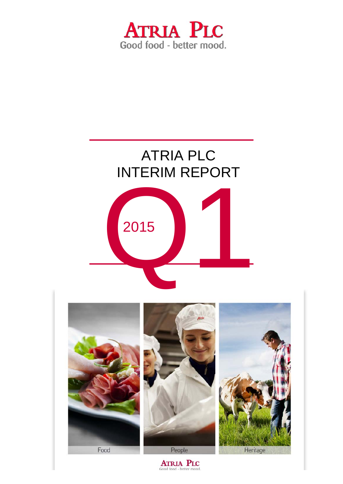





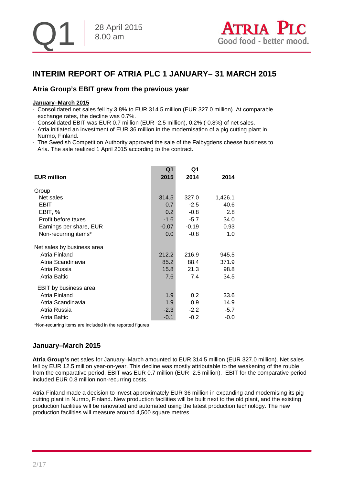

## **INTERIM REPORT OF ATRIA PLC 1 JANUARY– 31 MARCH 2015**

## **Atria Group's EBIT grew from the previous year**

#### **January–March 2015**

- Consolidated net sales fell by 3.8% to EUR 314.5 million (EUR 327.0 million). At comparable exchange rates, the decline was 0.7%.
- Consolidated EBIT was EUR 0.7 million (EUR -2.5 million), 0.2% (-0.8%) of net sales.
- Atria initiated an investment of EUR 36 million in the modernisation of a pig cutting plant in Nurmo, Finland.
- The Swedish Competition Authority approved the sale of the Falbygdens cheese business to Arla. The sale realized 1 April 2015 according to the contract.

|                            | Q <sub>1</sub> | Q1      |         |
|----------------------------|----------------|---------|---------|
| <b>EUR million</b>         | 2015           | 2014    | 2014    |
|                            |                |         |         |
| Group                      |                |         |         |
| Net sales                  | 314.5          | 327.0   | 1,426.1 |
| EBIT                       | 0.7            | $-2.5$  | 40.6    |
| EBIT, %                    | 0.2            | $-0.8$  | 2.8     |
| Profit before taxes        | $-1.6$         | $-5.7$  | 34.0    |
| Earnings per share, EUR    | $-0.07$        | $-0.19$ | 0.93    |
| Non-recurring items*       | 0.0            | $-0.8$  | 1.0     |
|                            |                |         |         |
| Net sales by business area |                |         |         |
| Atria Finland              | 212.2          | 216.9   | 945.5   |
| Atria Scandinavia          | 85.2           | 88.4    | 371.9   |
| Atria Russia               | 15.8           | 21.3    | 98.8    |
| Atria Baltic               | 7.6            | 7.4     | 34.5    |
|                            |                |         |         |
| EBIT by business area      |                |         |         |
| Atria Finland              | 1.9            | 0.2     | 33.6    |
| Atria Scandinavia          | 1.9            | 0.9     | 14.9    |
| Atria Russia               | $-2.3$         | $-2.2$  | $-5.7$  |
| Atria Baltic               | $-0.1$         | $-0.2$  | $-0.0$  |

\*Non-recurring items are included in the reported figures

## **January–March 2015**

**Atria Group's** net sales for January–March amounted to EUR 314.5 million (EUR 327.0 million). Net sales fell by EUR 12.5 million year-on-year. This decline was mostly attributable to the weakening of the rouble from the comparative period. EBIT was EUR 0.7 million (EUR -2.5 million). EBIT for the comparative period included EUR 0.8 million non-recurring costs.

Atria Finland made a decision to invest approximately EUR 36 million in expanding and modernising its pig cutting plant in Nurmo, Finland. New production facilities will be built next to the old plant, and the existing production facilities will be renovated and automated using the latest production technology. The new production facilities will measure around 4,500 square metres.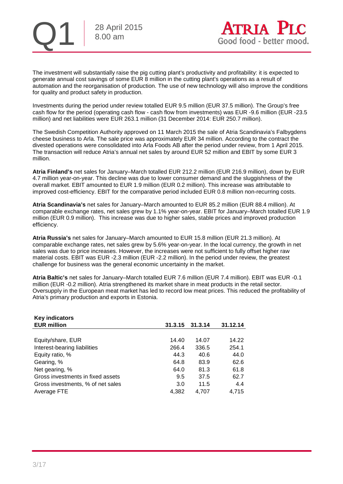

The investment will substantially raise the pig cutting plant's productivity and profitability: it is expected to generate annual cost savings of some EUR 8 million in the cutting plant's operations as a result of automation and the reorganisation of production. The use of new technology will also improve the conditions for quality and product safety in production.

Investments during the period under review totalled EUR 9.5 million (EUR 37.5 million). The Group's free cash flow for the period (operating cash flow - cash flow from investments) was EUR -9.6 million (EUR -23.5 million) and net liabilities were EUR 263.1 million (31 December 2014: EUR 250.7 million).

The Swedish Competition Authority approved on 11 March 2015 the sale of Atria Scandinavia's Falbygdens cheese business to Arla. The sale price was approximately EUR 34 million. According to the contract the divested operations were consolidated into Arla Foods AB after the period under review, from 1 April 2015. The transaction will reduce Atria's annual net sales by around EUR 52 million and EBIT by some EUR 3 million.

**Atria Finland's** net sales for January–March totalled EUR 212.2 million (EUR 216.9 million), down by EUR 4.7 million year-on-year. This decline was due to lower consumer demand and the sluggishness of the overall market. EBIT amounted to EUR 1.9 million (EUR 0.2 million). This increase was attributable to improved cost-efficiency. EBIT for the comparative period included EUR 0.8 million non-recurring costs.

**Atria Scandinavia's** net sales for January–March amounted to EUR 85.2 million (EUR 88.4 million). At comparable exchange rates, net sales grew by 1.1% year-on-year. EBIT for January–March totalled EUR 1.9 million (EUR 0.9 million). This increase was due to higher sales, stable prices and improved production efficiency.

**Atria Russia's** net sales for January–March amounted to EUR 15.8 million (EUR 21.3 million). At comparable exchange rates, net sales grew by 5.6% year-on-year. In the local currency, the growth in net sales was due to price increases. However, the increases were not sufficient to fully offset higher raw material costs. EBIT was EUR -2.3 million (EUR -2.2 million). In the period under review, the greatest challenge for business was the general economic uncertainty in the market.

**Atria Baltic's** net sales for January–March totalled EUR 7.6 million (EUR 7.4 million). EBIT was EUR -0.1 million (EUR -0.2 million). Atria strengthened its market share in meat products in the retail sector. Oversupply in the European meat market has led to record low meat prices. This reduced the profitability of Atria's primary production and exports in Estonia.

| <b>Key indicators</b>             |         |         |          |
|-----------------------------------|---------|---------|----------|
| <b>EUR million</b>                | 31.3.15 | 31.3.14 | 31.12.14 |
|                                   |         |         |          |
| Equity/share, EUR                 | 14.40   | 14.07   | 14.22    |
| Interest-bearing liabilities      | 266.4   | 336.5   | 254.1    |
| Equity ratio, %                   | 44.3    | 40.6    | 44.0     |
| Gearing, %                        | 64.8    | 83.9    | 62.6     |
| Net gearing, %                    | 64.0    | 81.3    | 61.8     |
| Gross investments in fixed assets | 9.5     | 37.5    | 62.7     |
| Gross investments, % of net sales | 3.0     | 11.5    | 4.4      |
| Average FTE                       | 4,382   | 4.707   | 4.715    |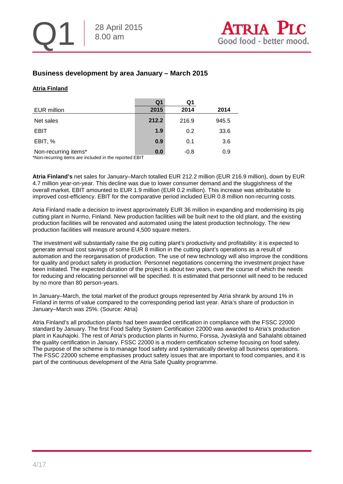## **Business development by area January – March 2015**

#### **Atria Finland**

|                      | Q <sub>1</sub> | Q1     |       |
|----------------------|----------------|--------|-------|
| EUR million          | 2015           | 2014   | 2014  |
| Net sales            | 212.2          | 216.9  | 945.5 |
| <b>EBIT</b>          | 1.9            | 0.2    | 33.6  |
| EBIT, %              | 0.9            | 0.1    | 3.6   |
| Non-recurring items* | 0.0            | $-0.8$ | 0.9   |

\*Non-recurring items are included in the reported EBIT

**Atria Finland's** net sales for January–March totalled EUR 212.2 million (EUR 216.9 million), down by EUR 4.7 million year-on-year. This decline was due to lower consumer demand and the sluggishness of the overall market. EBIT amounted to EUR 1.9 million (EUR 0.2 million). This increase was attributable to improved cost-efficiency. EBIT for the comparative period included EUR 0.8 million non-recurring costs.

Atria Finland made a decision to invest approximately EUR 36 million in expanding and modernising its pig cutting plant in Nurmo, Finland. New production facilities will be built next to the old plant, and the existing production facilities will be renovated and automated using the latest production technology. The new production facilities will measure around 4,500 square meters.

The investment will substantially raise the pig cutting plant's productivity and profitability: it is expected to generate annual cost savings of some EUR 8 million in the cutting plant's operations as a result of automation and the reorganisation of production. The use of new technology will also improve the conditions for quality and product safety in production. Personnel negotiations concerning the investment project have been initiated. The expected duration of the project is about two years, over the course of which the needs for reducing and relocating personnel will be specified. It is estimated that personnel will need to be reduced by no more than 80 person-years.

In January–March, the total market of the product groups represented by Atria shrank by around 1% in Finland in terms of value compared to the corresponding period last year. Atria's share of production in January–March was 25%. (Source: Atria)

Atria Finland's all production plants had been awarded certification in compliance with the FSSC 22000 standard by January. The first Food Safety System Certification 22000 was awarded to Atria's production plant in Kauhajoki. The rest of Atria's production plants in Nurmo, Forssa, Jyväskylä and Sahalahti obtained the quality certification in January. FSSC 22000 is a modern certification scheme focusing on food safety. The purpose of the scheme is to manage food safety and systematically develop all business operations. The FSSC 22000 scheme emphasises product safety issues that are important to food companies, and it is part of the continuous development of the Atria Safe Quality programme.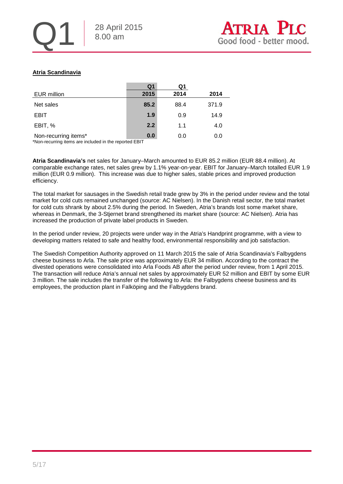#### **Atria Scandinavia**

|                           | Q1                           | Q1   |       |
|---------------------------|------------------------------|------|-------|
| <b>EUR million</b>        | 2015                         | 2014 | 2014  |
| Net sales                 | 85.2                         | 88.4 | 371.9 |
| <b>EBIT</b>               | 1.9                          | 0.9  | 14.9  |
| EBIT, %                   | 2.2                          | 1.1  | 4.0   |
| Non-recurring items*<br>. | 0.0<br>$\cdot$ $  \cdot$ $-$ | 0.0  | 0.0   |

\*Non-recurring items are included in the reported EBIT

**Atria Scandinavia's** net sales for January–March amounted to EUR 85.2 million (EUR 88.4 million). At comparable exchange rates, net sales grew by 1.1% year-on-year. EBIT for January–March totalled EUR 1.9 million (EUR 0.9 million). This increase was due to higher sales, stable prices and improved production efficiency.

The total market for sausages in the Swedish retail trade grew by 3% in the period under review and the total market for cold cuts remained unchanged (source: AC Nielsen). In the Danish retail sector, the total market for cold cuts shrank by about 2.5% during the period. In Sweden, Atria's brands lost some market share, whereas in Denmark, the 3-Stjernet brand strengthened its market share (source: AC Nielsen). Atria has increased the production of private label products in Sweden.

In the period under review, 20 projects were under way in the Atria's Handprint programme, with a view to developing matters related to safe and healthy food, environmental responsibility and job satisfaction.

The Swedish Competition Authority approved on 11 March 2015 the sale of Atria Scandinavia's Falbygdens cheese business to Arla. The sale price was approximately EUR 34 million. According to the contract the divested operations were consolidated into Arla Foods AB after the period under review, from 1 April 2015. The transaction will reduce Atria's annual net sales by approximately EUR 52 million and EBIT by some EUR 3 million. The sale includes the transfer of the following to Arla: the Falbygdens cheese business and its employees, the production plant in Falköping and the Falbygdens brand.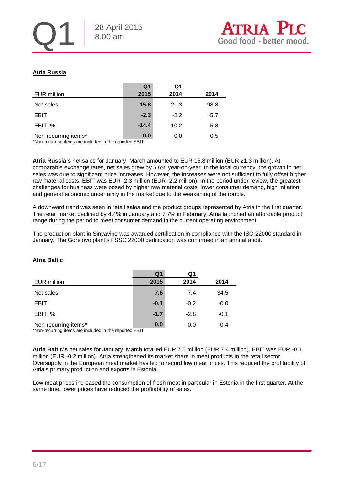#### **Atria Russia**

|                      | Q <sub>1</sub> | Q1      |        |
|----------------------|----------------|---------|--------|
| <b>EUR million</b>   | 2015           | 2014    | 2014   |
| Net sales            | 15.8           | 21.3    | 98.8   |
| <b>EBIT</b>          | $-2.3$         | $-2.2$  | $-5.7$ |
| EBIT, %              | $-14.4$        | $-10.2$ | $-5.8$ |
| Non-recurring items* | 0.0            | 0.0     | 0.5    |

\*Non-recurring items are included in the reported EBIT

**Atria Russia's** net sales for January–March amounted to EUR 15.8 million (EUR 21.3 million). At comparable exchange rates, net sales grew by 5.6% year-on-year. In the local currency, the growth in net sales was due to significant price increases. However, the increases were not sufficient to fully offset higher raw material costs. EBIT was EUR -2.3 million (EUR -2.2 million). In the period under review, the greatest challenges for business were posed by higher raw material costs, lower consumer demand, high inflation and general economic uncertainty in the market due to the weakening of the rouble.

A downward trend was seen in retail sales and the product groups represented by Atria in the first quarter. The retail market declined by 4.4% in January and 7.7% in February. Atria launched an affordable product range during the period to meet consumer demand in the current operating environment.

The production plant in Sinyavino was awarded certification in compliance with the ISO 22000 standard in January. The Gorelovo plant's FSSC 22000 certification was confirmed in an annual audit.

# **Atria Baltic**

|                                                                                | Q1     | Q1     |        |
|--------------------------------------------------------------------------------|--------|--------|--------|
| EUR million                                                                    | 2015   | 2014   | 2014   |
| Net sales                                                                      | 7.6    | 7.4    | 34.5   |
| <b>EBIT</b>                                                                    | $-0.1$ | $-0.2$ | $-0.0$ |
| EBIT, %                                                                        | $-1.7$ | $-2.8$ | $-0.1$ |
| Non-recurring items*<br>*Non requiring items are included in the reported ERIT | 0.0    | 0.0    | $-0.4$ |

\*Non-recurring items are included in the reported EBIT

**Atria Baltic's** net sales for January–March totalled EUR 7.6 million (EUR 7.4 million). EBIT was EUR -0.1 million (EUR -0.2 million). Atria strengthened its market share in meat products in the retail sector. Oversupply in the European meat market has led to record low meat prices. This reduced the profitability of Atria's primary production and exports in Estonia.

Low meat prices increased the consumption of fresh meat in particular in Estonia in the first quarter. At the same time, lower prices have reduced the profitability of sales.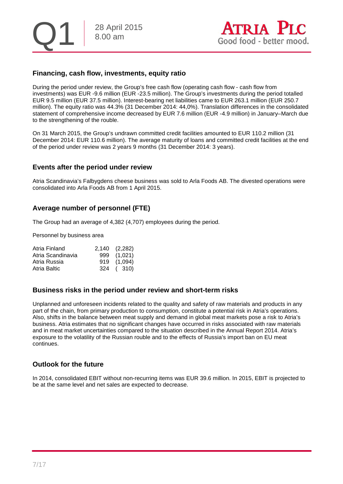

## **Financing, cash flow, investments, equity ratio**

During the period under review, the Group's free cash flow (operating cash flow - cash flow from investments) was EUR -9.6 million (EUR -23.5 million). The Group's investments during the period totalled EUR 9.5 million (EUR 37.5 million). Interest-bearing net liabilities came to EUR 263.1 million (EUR 250.7 million). The equity ratio was 44.3% (31 December 2014: 44,0%). Translation differences in the consolidated statement of comprehensive income decreased by EUR 7.6 million (EUR -4.9 million) in January–March due to the strengthening of the rouble.

On 31 March 2015, the Group's undrawn committed credit facilities amounted to EUR 110.2 million (31 December 2014: EUR 110.6 million). The average maturity of loans and committed credit facilities at the end of the period under review was 2 years 9 months (31 December 2014: 3 years).

#### **Events after the period under review**

Atria Scandinavia's Falbygdens cheese business was sold to Arla Foods AB. The divested operations were consolidated into Arla Foods AB from 1 April 2015.

## **Average number of personnel (FTE)**

The Group had an average of 4,382 (4,707) employees during the period.

Personnel by business area

| Atria Finland     | 2,140 (2,282) |  |
|-------------------|---------------|--|
| Atria Scandinavia | 999 (1,021)   |  |
| Atria Russia      | 919 (1.094)   |  |
| Atria Baltic      | 324 (310)     |  |

#### **Business risks in the period under review and short-term risks**

Unplanned and unforeseen incidents related to the quality and safety of raw materials and products in any part of the chain, from primary production to consumption, constitute a potential risk in Atria's operations. Also, shifts in the balance between meat supply and demand in global meat markets pose a risk to Atria's business. Atria estimates that no significant changes have occurred in risks associated with raw materials and in meat market uncertainties compared to the situation described in the Annual Report 2014. Atria's exposure to the volatility of the Russian rouble and to the effects of Russia's import ban on EU meat continues.

## **Outlook for the future**

In 2014, consolidated EBIT without non-recurring items was EUR 39.6 million. In 2015, EBIT is projected to be at the same level and net sales are expected to decrease.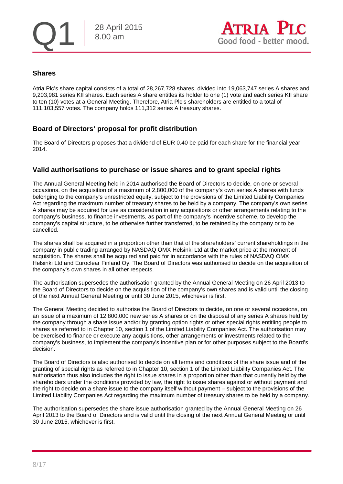

## **Shares**

Atria Plc's share capital consists of a total of 28,267,728 shares, divided into 19,063,747 series A shares and 9,203,981 series KII shares. Each series A share entitles its holder to one (1) vote and each series KII share to ten (10) votes at a General Meeting. Therefore, Atria Plc's shareholders are entitled to a total of 111,103,557 votes. The company holds 111,312 series A treasury shares.

## **Board of Directors' proposal for profit distribution**

The Board of Directors proposes that a dividend of EUR 0.40 be paid for each share for the financial year 2014.

#### **Valid authorisations to purchase or issue shares and to grant special rights**

The Annual General Meeting held in 2014 authorised the Board of Directors to decide, on one or several occasions, on the acquisition of a maximum of 2,800,000 of the company's own series A shares with funds belonging to the company's unrestricted equity, subject to the provisions of the Limited Liability Companies Act regarding the maximum number of treasury shares to be held by a company. The company's own series A shares may be acquired for use as consideration in any acquisitions or other arrangements relating to the company's business, to finance investments, as part of the company's incentive scheme, to develop the company's capital structure, to be otherwise further transferred, to be retained by the company or to be cancelled.

The shares shall be acquired in a proportion other than that of the shareholders' current shareholdings in the company in public trading arranged by NASDAQ OMX Helsinki Ltd at the market price at the moment of acquisition. The shares shall be acquired and paid for in accordance with the rules of NASDAQ OMX Helsinki Ltd and Euroclear Finland Oy. The Board of Directors was authorised to decide on the acquisition of the company's own shares in all other respects.

The authorisation supersedes the authorisation granted by the Annual General Meeting on 26 April 2013 to the Board of Directors to decide on the acquisition of the company's own shares and is valid until the closing of the next Annual General Meeting or until 30 June 2015, whichever is first.

The General Meeting decided to authorise the Board of Directors to decide, on one or several occasions, on an issue of a maximum of 12,800,000 new series A shares or on the disposal of any series A shares held by the company through a share issue and/or by granting option rights or other special rights entitling people to shares as referred to in Chapter 10, section 1 of the Limited Liability Companies Act. The authorisation may be exercised to finance or execute any acquisitions, other arrangements or investments related to the company's business, to implement the company's incentive plan or for other purposes subject to the Board's decision.

The Board of Directors is also authorised to decide on all terms and conditions of the share issue and of the granting of special rights as referred to in Chapter 10, section 1 of the Limited Liability Companies Act. The authorisation thus also includes the right to issue shares in a proportion other than that currently held by the shareholders under the conditions provided by law, the right to issue shares against or without payment and the right to decide on a share issue to the company itself without payment – subject to the provisions of the Limited Liability Companies Act regarding the maximum number of treasury shares to be held by a company.

The authorisation supersedes the share issue authorisation granted by the Annual General Meeting on 26 April 2013 to the Board of Directors and is valid until the closing of the next Annual General Meeting or until 30 June 2015, whichever is first.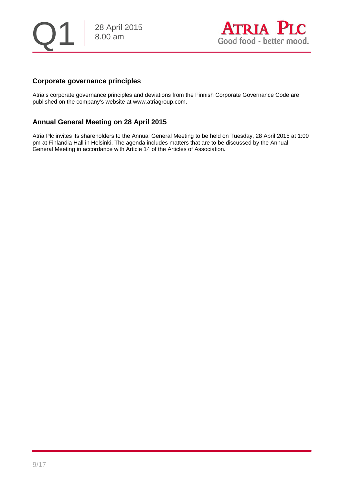28 April 2015 8.00 am



## **Corporate governance principles**

Atria's corporate governance principles and deviations from the Finnish Corporate Governance Code are published on the company's website at www.atriagroup.com.

## **Annual General Meeting on 28 April 2015**

Atria Plc invites its shareholders to the Annual General Meeting to be held on Tuesday, 28 April 2015 at 1:00 pm at Finlandia Hall in Helsinki. The agenda includes matters that are to be discussed by the Annual General Meeting in accordance with Article 14 of the Articles of Association.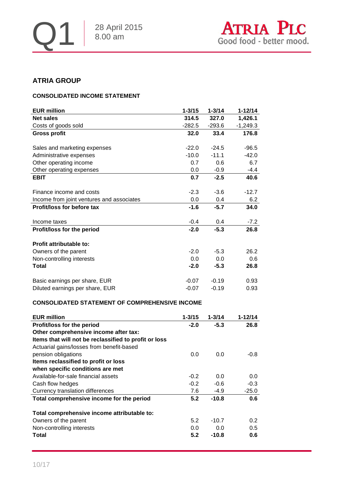

## **ATRIA GROUP**

#### **CONSOLIDATED INCOME STATEMENT**

| <b>EUR million</b>                         | $1 - 3/15$       | $1 - 3/14$    | $1 - 12/14$    |
|--------------------------------------------|------------------|---------------|----------------|
| <b>Net sales</b>                           | 314.5            | 327.0         | 1,426.1        |
| Costs of goods sold                        | $-282.5$         | $-293.6$      | $-1,249.3$     |
| <b>Gross profit</b>                        | 32.0             | 33.4          | 176.8          |
| Sales and marketing expenses               | $-22.0$          | $-24.5$       | $-96.5$        |
| Administrative expenses                    | $-10.0$          | $-11.1$       | $-42.0$        |
| Other operating income                     | 0.7              | 0.6           | 6.7            |
| Other operating expenses                   | 0.0              | $-0.9$        | $-4.4$         |
| <b>EBIT</b>                                | 0.7              | $-2.5$        | 40.6           |
| Finance income and costs                   | $-2.3$           | $-3.6$        | $-12.7$        |
| Income from joint ventures and associates  | 0.0              | 0.4           | 6.2            |
| Profit/loss for before tax<br>Income taxes | $-1.6$<br>$-0.4$ | $-5.7$<br>0.4 | 34.0<br>$-7.2$ |
| Profit/loss for the period                 | $-2.0$           | $-5.3$        | 26.8           |
| Profit attributable to:                    |                  |               |                |
| Owners of the parent                       | $-2.0$           | $-5.3$        | 26.2           |
| Non-controlling interests                  | 0.0              | 0.0           | 0.6            |
| Total                                      | $-2.0$           | $-5.3$        | 26.8           |
| Basic earnings per share, EUR              | $-0.07$          | $-0.19$       | 0.93           |
| Diluted earnings per share, EUR            | $-0.07$          | $-0.19$       | 0.93           |

#### **CONSOLIDATED STATEMENT OF COMPREHENSIVE INCOME**

| <b>EUR million</b>                                    | $1 - 3/15$ | $1 - 3/14$ | 1-12/14 |
|-------------------------------------------------------|------------|------------|---------|
| Profit/loss for the period                            | $-2.0$     | $-5.3$     | 26.8    |
| Other comprehensive income after tax:                 |            |            |         |
| Items that will not be reclassified to profit or loss |            |            |         |
| Actuarial gains/losses from benefit-based             |            |            |         |
| pension obligations                                   | 0.0        | 0.0        | $-0.8$  |
| Items reclassified to profit or loss                  |            |            |         |
| when specific conditions are met                      |            |            |         |
| Available-for-sale financial assets                   | $-0.2$     | 0.0        | 0.0     |
| Cash flow hedges                                      | $-0.2$     | $-0.6$     | $-0.3$  |
| Currency translation differences                      | 7.6        | $-4.9$     | $-25.0$ |
| Total comprehensive income for the period             | 5.2        | $-10.8$    | 0.6     |
| Total comprehensive income attributable to:           |            |            |         |
| Owners of the parent                                  | 5.2        | $-10.7$    | 0.2     |
| Non-controlling interests                             | 0.0        | 0.0        | 0.5     |
| Total                                                 | 5.2        | $-10.8$    | 0.6     |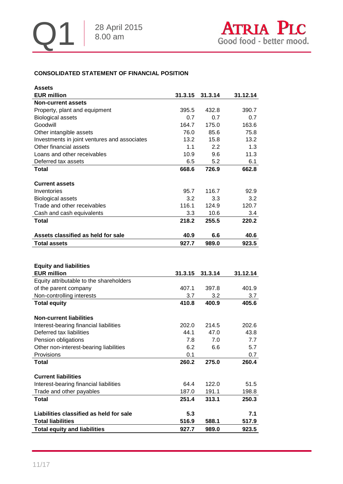## **CONSOLIDATED STATEMENT OF FINANCIAL POSITION**

| <b>Assets</b>                                |         |         |          |
|----------------------------------------------|---------|---------|----------|
| <b>EUR million</b>                           | 31.3.15 | 31.3.14 | 31.12.14 |
| <b>Non-current assets</b>                    |         |         |          |
| Property, plant and equipment                | 395.5   | 432.8   | 390.7    |
| <b>Biological assets</b>                     | 0.7     | 0.7     | 0.7      |
| Goodwill                                     | 164.7   | 175.0   | 163.6    |
| Other intangible assets                      | 76.0    | 85.6    | 75.8     |
| Investments in joint ventures and associates | 13.2    | 15.8    | 13.2     |
| Other financial assets                       | 1.1     | 2.2     | 1.3      |
| Loans and other receivables                  | 10.9    | 9.6     | 11.3     |
| Deferred tax assets                          | 6.5     | 5.2     | 6.1      |
| <b>Total</b>                                 | 668.6   | 726.9   | 662.8    |
|                                              |         |         |          |
| <b>Current assets</b>                        |         |         |          |
| Inventories                                  | 95.7    | 116.7   | 92.9     |
| <b>Biological assets</b>                     | 3.2     | 3.3     | 3.2      |
| Trade and other receivables                  | 116.1   | 124.9   | 120.7    |
| Cash and cash equivalents                    | 3.3     | 10.6    | 3.4      |
| <b>Total</b>                                 | 218.2   | 255.5   | 220.2    |
|                                              |         |         |          |
| Assets classified as held for sale           | 40.9    | 6.6     | 40.6     |
| <b>Total assets</b>                          | 927.7   | 989.0   | 923.5    |
|                                              |         |         |          |
|                                              |         |         |          |
| <b>Equity and liabilities</b>                |         |         |          |
| <b>EUR million</b>                           | 31.3.15 | 31.3.14 | 31.12.14 |
| Equity attributable to the shareholders      |         |         |          |
| of the parent company                        | 407.1   | 397.8   | 401.9    |
| Non-controlling interests                    | 3.7     | 3.2     | 3.7      |
| <b>Total equity</b>                          | 410.8   | 400.9   | 405.6    |
|                                              |         |         |          |
| <b>Non-current liabilities</b>               |         |         |          |
| Interest-bearing financial liabilities       | 202.0   | 214.5   | 202.6    |
| Deferred tax liabilities                     | 44.1    | 47.0    | 43.8     |
| Pension obligations                          | 7.8     | 7.0     | 7.7      |
| Other non-interest-bearing liabilities       | 6.2     | 6.6     | 5.7      |
| Provisions                                   | 0.1     |         | 0.7      |
| <b>Total</b>                                 | 260.2   | 275.0   | 260.4    |
|                                              |         |         |          |
| <b>Current liabilities</b>                   |         |         |          |
| Interest-bearing financial liabilities       | 64.4    | 122.0   | 51.5     |
| Trade and other payables                     | 187.0   | 191.1   | 198.8    |
| <b>Total</b>                                 | 251.4   | 313.1   | 250.3    |
|                                              |         |         |          |
| Liabilities classified as held for sale      | 5.3     |         | 7.1      |
|                                              |         |         |          |
| <b>Total liabilities</b>                     | 516.9   | 588.1   | 517.9    |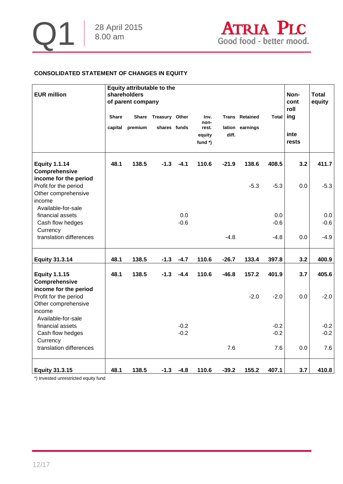

## **CONSOLIDATED STATEMENT OF CHANGES IN EQUITY**

| <b>EUR million</b>                                                                                    |              | <b>Equity attributable to the</b><br>shareholders<br>of parent company |                |        |                                      |         |                       |              | Non-<br>cont<br>roll | <b>Total</b><br>equity |
|-------------------------------------------------------------------------------------------------------|--------------|------------------------------------------------------------------------|----------------|--------|--------------------------------------|---------|-----------------------|--------------|----------------------|------------------------|
|                                                                                                       | <b>Share</b> | <b>Share</b>                                                           | Treasury Other |        | Inv.                                 |         | <b>Trans Retained</b> | <b>Total</b> | ing                  |                        |
|                                                                                                       | capital      | premium                                                                | shares funds   |        | non-<br>rest.<br>equity<br>fund $*)$ | diff.   | lation earnings       |              | inte<br>rests        |                        |
| <b>Equity 1.1.14</b><br>Comprehensive<br>income for the period                                        | 48.1         | 138.5                                                                  | $-1.3$         | $-4.1$ | 110.6                                | $-21.9$ | 138.6                 | 408.5        | 3.2                  | 411.7                  |
| Profit for the period<br>Other comprehensive<br>income<br>Available-for-sale                          |              |                                                                        |                |        |                                      |         | $-5.3$                | $-5.3$       | 0.0                  | $-5.3$                 |
| financial assets                                                                                      |              |                                                                        |                | 0.0    |                                      |         |                       | 0.0          |                      | 0.0                    |
| Cash flow hedges<br>Currency                                                                          |              |                                                                        |                | $-0.6$ |                                      |         |                       | $-0.6$       |                      | $-0.6$                 |
| translation differences                                                                               |              |                                                                        |                |        |                                      | $-4.8$  |                       | $-4.8$       | 0.0                  | $-4.9$                 |
| <b>Equity 31.3.14</b>                                                                                 | 48.1         | 138.5                                                                  | $-1.3$         | $-4.7$ | 110.6                                | $-26.7$ | 133.4                 | 397.8        | 3.2                  | 400.9                  |
| <b>Equity 1.1.15</b><br>Comprehensive                                                                 | 48.1         | 138.5                                                                  | $-1.3$         | $-4.4$ | 110.6                                | $-46.8$ | 157.2                 | 401.9        | 3.7                  | 405.6                  |
| income for the period<br>Profit for the period<br>Other comprehensive<br>income<br>Available-for-sale |              |                                                                        |                |        |                                      |         | $-2.0$                | $-2.0$       | 0.0                  | $-2.0$                 |
| financial assets                                                                                      |              |                                                                        |                | $-0.2$ |                                      |         |                       | $-0.2$       |                      | $-0.2$                 |
| Cash flow hedges<br>Currency                                                                          |              |                                                                        |                | $-0.2$ |                                      |         |                       | $-0.2$       |                      | $-0.2$                 |
| translation differences                                                                               |              |                                                                        |                |        |                                      | 7.6     |                       | 7.6          | 0.0                  | 7.6                    |
| <b>Equity 31.3.15</b>                                                                                 | 48.1         | 138.5                                                                  | $-1.3$         | $-4.8$ | 110.6                                | $-39.2$ | 155.2                 | 407.1        | 3.7                  | 410.8                  |

\*) Invested unrestricted equity fund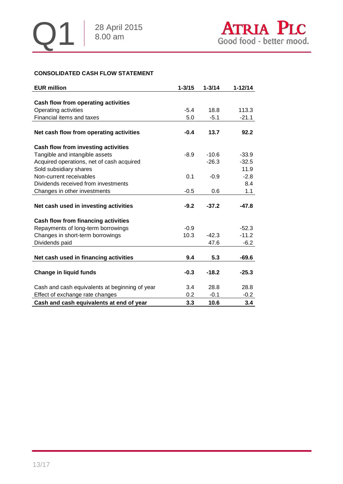## **CONSOLIDATED CASH FLOW STATEMENT**

| <b>EUR million</b>                             | $1 - 3/15$ | $1 - 3/14$ | $1 - 12/14$ |
|------------------------------------------------|------------|------------|-------------|
|                                                |            |            |             |
| Cash flow from operating activities            |            |            |             |
| Operating activities                           | $-5.4$     | 18.8       | 113.3       |
| Financial items and taxes                      | 5.0        | $-5.1$     | $-21.1$     |
|                                                |            |            |             |
| Net cash flow from operating activities        | $-0.4$     | 13.7       | 92.2        |
| Cash flow from investing activities            |            |            |             |
| Tangible and intangible assets                 | $-8.9$     | $-10.6$    | $-33.9$     |
| Acquired operations, net of cash acquired      |            | $-26.3$    | $-32.5$     |
| Sold subsidiary shares                         |            |            | 11.9        |
| Non-current receivables                        | 0.1        | $-0.9$     | $-2.8$      |
| Dividends received from investments            |            |            | 8.4         |
| Changes in other investments                   | $-0.5$     | 0.6        | 1.1         |
|                                                |            |            |             |
| Net cash used in investing activities          | $-9.2$     | $-37.2$    | -47.8       |
| Cash flow from financing activities            |            |            |             |
| Repayments of long-term borrowings             | $-0.9$     |            | $-52.3$     |
| Changes in short-term borrowings               | 10.3       | $-42.3$    | $-11.2$     |
| Dividends paid                                 |            | 47.6       | $-6.2$      |
|                                                |            |            |             |
| Net cash used in financing activities          | 9.4        | 5.3        | -69.6       |
|                                                |            |            |             |
| <b>Change in liquid funds</b>                  | $-0.3$     | $-18.2$    | $-25.3$     |
| Cash and cash equivalents at beginning of year | 3.4        | 28.8       | 28.8        |
| Effect of exchange rate changes                | 0.2        | $-0.1$     | $-0.2$      |
| Cash and cash equivalents at end of year       | 3.3        | 10.6       | 3.4         |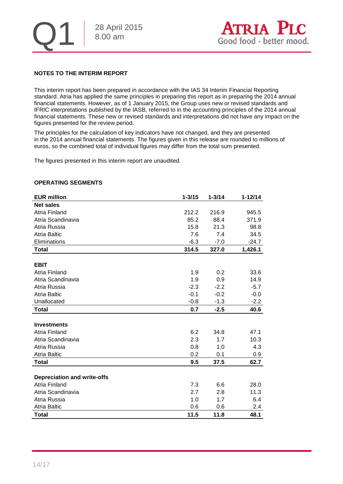

#### **NOTES TO THE INTERIM REPORT**

This interim report has been prepared in accordance with the IAS 34 Interim Financial Reporting standard. Atria has applied the same principles in preparing this report as in preparing the 2014 annual financial statements. However, as of 1 January 2015, the Group uses new or revised standards and IFRIC interpretations published by the IASB, referred to in the accounting principles of the 2014 annual financial statements. These new or revised standards and interpretations did not have any impact on the figures presented for the review period.

The principles for the calculation of key indicators have not changed, and they are presented in the 2014 annual financial statements. The figures given in this release are rounded to millions of euros, so the combined total of individual figures may differ from the total sum presented.

The figures presented in this interim report are unaudited.

#### **OPERATING SEGMENTS**

| <b>EUR million</b>                 | $1 - 3/15$ | $1 - 3/14$ | $1 - 12/14$ |
|------------------------------------|------------|------------|-------------|
| <b>Net sales</b>                   |            |            |             |
| Atria Finland                      | 212.2      | 216.9      | 945.5       |
| Atria Scandinavia                  | 85.2       | 88.4       | 371.9       |
| Atria Russia                       | 15.8       | 21.3       | 98.8        |
| <b>Atria Baltic</b>                | 7.6        | 7.4        | 34.5        |
| Eliminations                       | $-6.3$     | $-7.0$     | $-24.7$     |
| <b>Total</b>                       | 314.5      | 327.0      | 1,426.1     |
|                                    |            |            |             |
| <b>EBIT</b>                        |            |            |             |
| Atria Finland                      | 1.9        | 0.2        | 33.6        |
| Atria Scandinavia                  | 1.9        | 0.9        | 14.9        |
| Atria Russia                       | $-2.3$     | $-2.2$     | $-5.7$      |
| <b>Atria Baltic</b>                | $-0.1$     | $-0.2$     | $-0.0$      |
| Unallocated                        | $-0.8$     | $-1.3$     | $-2.2$      |
| <b>Total</b>                       | 0.7        | $-2.5$     | 40.6        |
|                                    |            |            |             |
| <b>Investments</b>                 |            |            |             |
| Atria Finland                      | 6.2        | 34.8       | 47.1        |
| Atria Scandinavia                  | 2.3        | 1.7        | 10.3        |
| Atria Russia                       | 0.8        | 1.0        | 4.3         |
| <b>Atria Baltic</b>                | 0.2        | 0.1        | 0.9         |
| <b>Total</b>                       | 9.5        | 37.5       | 62.7        |
|                                    |            |            |             |
| <b>Depreciation and write-offs</b> |            |            |             |
| Atria Finland                      | 7.3        | 6.6        | 28.0        |
| Atria Scandinavia                  | 2.7        | 2.8        | 11.3        |
| Atria Russia                       | 1.0        | 1.7        | 6.4         |
| <b>Atria Baltic</b>                | 0.6        | 0.6        | 2.4         |
| <b>Total</b>                       | 11.5       | 11.8       | 48.1        |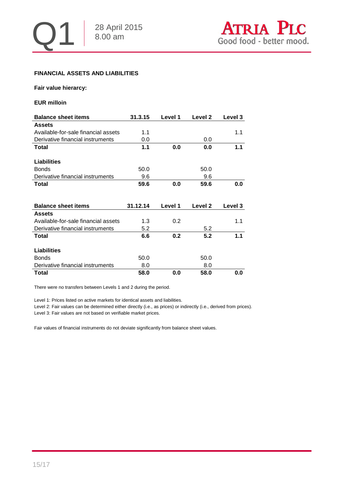

#### **FINANCIAL ASSETS AND LIABILITIES**

#### **Fair value hierarcy:**

#### **EUR milloin**

| <b>Balance sheet items</b>          | 31.3.15  | Level 1 | Level 2 | Level 3 |
|-------------------------------------|----------|---------|---------|---------|
| <b>Assets</b>                       |          |         |         |         |
| Available-for-sale financial assets | 1.1      |         |         | 1.1     |
| Derivative financial instruments    | 0.0      |         | 0.0     |         |
| Total                               | 1.1      | 0.0     | 0.0     | 1.1     |
|                                     |          |         |         |         |
| Liabilities                         |          |         |         |         |
| <b>Bonds</b>                        | 50.0     |         | 50.0    |         |
| Derivative financial instruments    | 9.6      |         | 9.6     |         |
| Total                               | 59.6     | 0.0     | 59.6    | 0.0     |
|                                     |          |         |         |         |
|                                     |          |         |         |         |
| <b>Balance sheet items</b>          | 31.12.14 | Level 1 | Level 2 | Level 3 |
| <b>Assets</b>                       |          |         |         |         |
|                                     |          |         |         |         |
| Available-for-sale financial assets | 1.3      | 0.2     |         | 1.1     |
| Derivative financial instruments    | 5.2      |         | 5.2     |         |
| Total                               | 6.6      | 0.2     | 5.2     | 1.1     |
|                                     |          |         |         |         |
| <b>Liabilities</b>                  |          |         |         |         |
| <b>Bonds</b>                        | 50.0     |         | 50.0    |         |
| Derivative financial instruments    | 8.0      |         | 8.0     |         |

There were no transfers between Levels 1 and 2 during the period.

Level 1: Prices listed on active markets for identical assets and liabilities.

Level 2: Fair values can be determined either directly (i.e., as prices) or indirectly (i.e., derived from prices). Level 3: Fair values are not based on verifiable market prices.

Fair values of financial instruments do not deviate significantly from balance sheet values.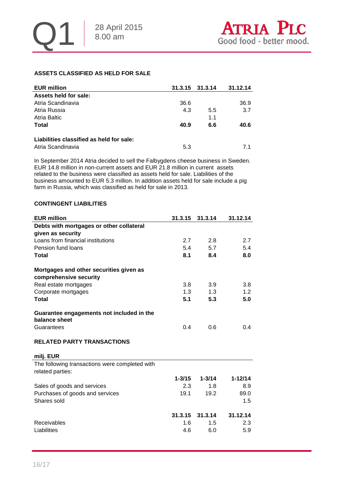#### **ASSETS CLASSIFIED AS HELD FOR SALE**

| <b>EUR million</b>                       | 31.3.15 31.3.14 |     | 31.12.14 |
|------------------------------------------|-----------------|-----|----------|
| Assets held for sale:                    |                 |     |          |
| Atria Scandinavia                        | 36.6            |     | 36.9     |
| Atria Russia                             | 4.3             | 5.5 | 3.7      |
| Atria Baltic                             |                 | 1.1 |          |
| <b>Total</b>                             | 40.9            | 6.6 | 40.6     |
| Liabilities classified as held for sale: |                 |     |          |
| Atria Scandinavia                        | 5.3             |     | 71       |

In September 2014 Atria decided to sell the Falbygdens cheese business in Sweden. EUR 14.8 million in non-current assets and EUR 21.8 million in current assets related to the business were classified as assets held for sale. Liabilities of the business amounted to EUR 5.3 million. In addition assets held for sale include a pig farm in Russia, which was classified as held for sale in 2013.

#### **CONTINGENT LIABILITIES**

| <b>EUR million</b>                                                 | 31.3.15    | 31.3.14    | 31.12.14    |
|--------------------------------------------------------------------|------------|------------|-------------|
| Debts with mortgages or other collateral                           |            |            |             |
| given as security                                                  |            |            |             |
| Loans from financial institutions                                  | 2.7        | 2.8        | 2.7         |
| Pension fund loans                                                 | 5.4        | 5.7        | 5.4         |
| Total                                                              | 8.1        | 8.4        | 8.0         |
| Mortgages and other securities given as                            |            |            |             |
| comprehensive security                                             |            |            |             |
| Real estate mortgages                                              | 3.8        | 3.9        | 3.8         |
| Corporate mortgages                                                | 1.3        | 1.3        | 1.2         |
| <b>Total</b>                                                       | 5.1        | 5.3        | 5.0         |
| Guarantee engagements not included in the<br>balance sheet         |            |            |             |
| Guarantees                                                         | 0.4        | 0.6        | 0.4         |
| <b>RELATED PARTY TRANSACTIONS</b>                                  |            |            |             |
| milj. EUR                                                          |            |            |             |
| The following transactions were completed with<br>related parties: |            |            |             |
|                                                                    | $1 - 3/15$ | $1 - 3/14$ | $1 - 12/14$ |
| Sales of goods and services                                        | 2.3        | 1.8        | 8.9         |
| Purchases of goods and services                                    | 19.1       | 19.2       | 89.0        |
| Shares sold                                                        |            |            | 1.5         |
|                                                                    | 31.3.15    | 31.3.14    | 31.12.14    |
| Receivables                                                        | 1.6        | 1.5        | 2.3         |
| Liabilities                                                        | 4.6        | 6.0        | 5.9         |